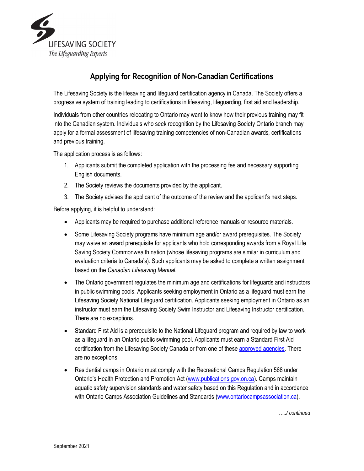

## **Applying for Recognition of Non-Canadian Certifications**

The Lifesaving Society is the lifesaving and lifeguard certification agency in Canada. The Society offers a progressive system of training leading to certifications in lifesaving, lifeguarding, first aid and leadership.

Individuals from other countries relocating to Ontario may want to know how their previous training may fit into the Canadian system. Individuals who seek recognition by the Lifesaving Society Ontario branch may apply for a formal assessment of lifesaving training competencies of non-Canadian awards, certifications and previous training.

The application process is as follows:

- 1. Applicants submit the completed application with the processing fee and necessary supporting English documents.
- 2. The Society reviews the documents provided by the applicant.
- 3. The Society advises the applicant of the outcome of the review and the applicant's next steps.

Before applying, it is helpful to understand:

- Applicants may be required to purchase additional reference manuals or resource materials.
- Some Lifesaving Society programs have minimum age and/or award prerequisites. The Society may waive an award prerequisite for applicants who hold corresponding awards from a Royal Life Saving Society Commonwealth nation (whose lifesaving programs are similar in curriculum and evaluation criteria to Canada's). Such applicants may be asked to complete a written assignment based on the *Canadian Lifesaving Manual*.
- The Ontario government regulates the minimum age and certifications for lifeguards and instructors in public swimming pools. Applicants seeking employment in Ontario as a lifeguard must earn the Lifesaving Society National Lifeguard certification. Applicants seeking employment in Ontario as an instructor must earn the Lifesaving Society Swim Instructor and Lifesaving Instructor certification. There are no exceptions.
- Standard First Aid is a prerequisite to the National Lifeguard program and required by law to work as a lifeguard in an Ontario public swimming pool. Applicants must earn a Standard First Aid certification from the Lifesaving Society Canada or from one of these approved [agencies.](https://www.lifesavingsociety.com/about-us/prerequisite-policies/first-aid-prerequisites.aspx) There are no exceptions.
- Residential camps in Ontario must comply with the Recreational Camps Regulation 568 under Ontario's Health Protection and Promotion Act [\(www.publications.gov.on.ca\)](http://www.publications.gov.on.ca/). Camps maintain aquatic safety supervision standards and water safety based on this Regulation and in accordance with Ontario Camps Association Guidelines and Standards [\(www.ontariocampsassociation.ca\)](http://www.ontariocampsassociation.ca/).

*…../ continued*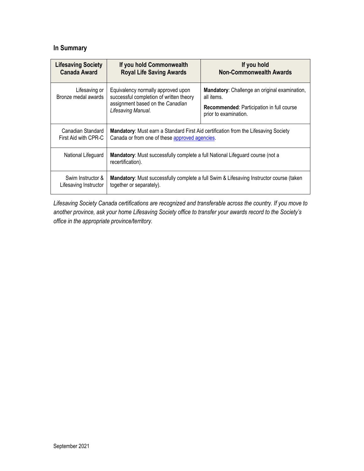## **In Summary**

| <b>Lifesaving Society</b>            | If you hold Commonwealth                                                                                                                | If you hold                                                                                                                              |  |  |  |
|--------------------------------------|-----------------------------------------------------------------------------------------------------------------------------------------|------------------------------------------------------------------------------------------------------------------------------------------|--|--|--|
| <b>Canada Award</b>                  | <b>Royal Life Saving Awards</b>                                                                                                         | <b>Non-Commonwealth Awards</b>                                                                                                           |  |  |  |
| Lifesaving or<br>Bronze medal awards | Equivalency normally approved upon<br>successful completion of written theory<br>assignment based on the Canadian<br>Lifesaving Manual. | Mandatory: Challenge an original examination,<br>all items.<br><b>Recommended:</b> Participation in full course<br>prior to examination. |  |  |  |
| Canadian Standard                    | <b>Mandatory:</b> Must earn a Standard First Aid certification from the Lifesaving Society                                              |                                                                                                                                          |  |  |  |
| First Aid with CPR-C                 | Canada or from one of these approved agencies.                                                                                          |                                                                                                                                          |  |  |  |
| National Lifeguard                   | <b>Mandatory:</b> Must successfully complete a full National Lifeguard course (not a<br>recertification).                               |                                                                                                                                          |  |  |  |
| Swim Instructor &                    | <b>Mandatory:</b> Must successfully complete a full Swim & Lifesaving Instructor course (taken                                          |                                                                                                                                          |  |  |  |
| Lifesaving Instructor                | together or separately).                                                                                                                |                                                                                                                                          |  |  |  |

*Lifesaving Society Canada certifications are recognized and transferable across the country. If you move to another province, ask your home Lifesaving Society office to transfer your awards record to the Society's office in the appropriate province/territory.*